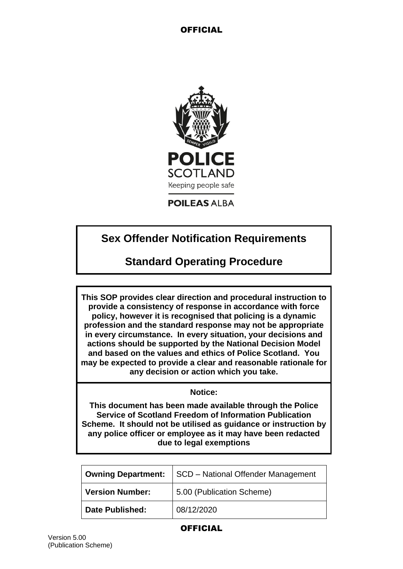

**POILEAS ALBA** 

# **Sex Offender Notification Requirements**

# **Standard Operating Procedure**

**This SOP provides clear direction and procedural instruction to provide a consistency of response in accordance with force policy, however it is recognised that policing is a dynamic profession and the standard response may not be appropriate in every circumstance. In every situation, your decisions and actions should be supported by the National Decision Model and based on the values and ethics of Police Scotland. You may be expected to provide a clear and reasonable rationale for any decision or action which you take.**

### **Notice:**

**This document has been made available through the Police Service of Scotland Freedom of Information Publication Scheme. It should not be utilised as guidance or instruction by any police officer or employee as it may have been redacted due to legal exemptions**

| <b>Owning Department:</b> | SCD - National Offender Management |
|---------------------------|------------------------------------|
| <b>Version Number:</b>    | 5.00 (Publication Scheme)          |
| <b>Date Published:</b>    | 08/12/2020                         |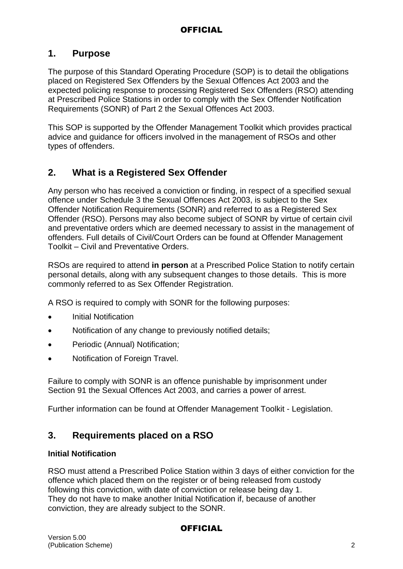## **1. Purpose**

The purpose of this Standard Operating Procedure (SOP) is to detail the obligations placed on Registered Sex Offenders by the Sexual Offences Act 2003 and the expected policing response to processing Registered Sex Offenders (RSO) attending at Prescribed Police Stations in order to comply with the Sex Offender Notification Requirements (SONR) of Part 2 the Sexual Offences Act 2003.

This SOP is supported by the Offender Management Toolkit which provides practical advice and guidance for officers involved in the management of RSOs and other types of offenders.

## **2. What is a Registered Sex Offender**

Any person who has received a conviction or finding, in respect of a specified sexual offence under Schedule 3 the Sexual Offences Act 2003, is subject to the Sex Offender Notification Requirements (SONR) and referred to as a Registered Sex Offender (RSO). Persons may also become subject of SONR by virtue of certain civil and preventative orders which are deemed necessary to assist in the management of offenders. Full details of Civil/Court Orders can be found at Offender Management Toolkit – Civil and Preventative Orders.

RSOs are required to attend **in person** at a Prescribed Police Station to notify certain personal details, along with any subsequent changes to those details. This is more commonly referred to as Sex Offender Registration.

A RSO is required to comply with SONR for the following purposes:

- Initial Notification
- Notification of any change to previously notified details;
- Periodic (Annual) Notification:
- Notification of Foreign Travel.

Failure to comply with SONR is an offence punishable by imprisonment under Section 91 the Sexual Offences Act 2003, and carries a power of arrest.

Further information can be found at Offender Management Toolkit - Legislation.

## **3. Requirements placed on a RSO**

### **Initial Notification**

RSO must attend a Prescribed Police Station within 3 days of either conviction for the offence which placed them on the register or of being released from custody following this conviction, with date of conviction or release being day 1. They do not have to make another Initial Notification if, because of another conviction, they are already subject to the SONR.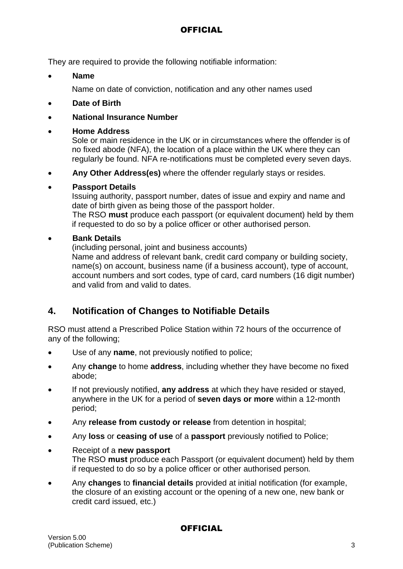They are required to provide the following notifiable information:

**Name**

Name on date of conviction, notification and any other names used

- **Date of Birth**
- **National Insurance Number**

## **Home Address**

Sole or main residence in the UK or in circumstances where the offender is of no fixed abode (NFA), the location of a place within the UK where they can regularly be found. NFA re-notifications must be completed every seven days.

**Any Other Address(es)** where the offender regularly stays or resides.

## **Passport Details**

Issuing authority, passport number, dates of issue and expiry and name and date of birth given as being those of the passport holder.

The RSO **must** produce each passport (or equivalent document) held by them if requested to do so by a police officer or other authorised person.

## **Bank Details**

(including personal, joint and business accounts)

Name and address of relevant bank, credit card company or building society, name(s) on account, business name (if a business account), type of account, account numbers and sort codes, type of card, card numbers (16 digit number) and valid from and valid to dates.

## **4. Notification of Changes to Notifiable Details**

RSO must attend a Prescribed Police Station within 72 hours of the occurrence of any of the following;

- Use of any **name**, not previously notified to police;
- Any **change** to home **address**, including whether they have become no fixed abode;
- If not previously notified, **any address** at which they have resided or stayed, anywhere in the UK for a period of **seven days or more** within a 12-month period;
- Any **release from custody or release** from detention in hospital;
- Any **loss** or **ceasing of use** of a **passport** previously notified to Police;
- Receipt of a **new passport** The RSO **must** produce each Passport (or equivalent document) held by them if requested to do so by a police officer or other authorised person*.*
- Any **changes** to **financial details** provided at initial notification (for example, the closure of an existing account or the opening of a new one, new bank or credit card issued, etc.)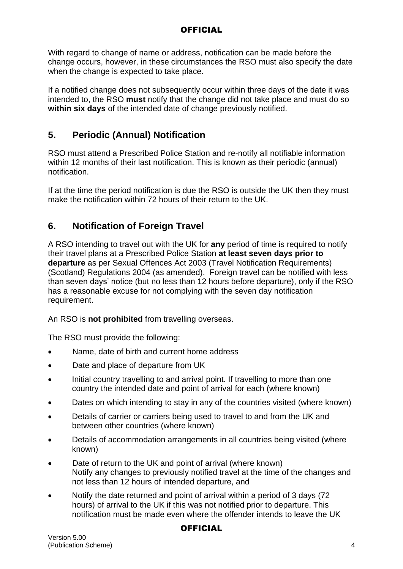With regard to change of name or address, notification can be made before the change occurs, however, in these circumstances the RSO must also specify the date when the change is expected to take place.

If a notified change does not subsequently occur within three days of the date it was intended to, the RSO **must** notify that the change did not take place and must do so **within six days** of the intended date of change previously notified.

## **5. Periodic (Annual) Notification**

RSO must attend a Prescribed Police Station and re-notify all notifiable information within 12 months of their last notification. This is known as their periodic (annual) notification.

If at the time the period notification is due the RSO is outside the UK then they must make the notification within 72 hours of their return to the UK.

## **6. Notification of Foreign Travel**

A RSO intending to travel out with the UK for **any** period of time is required to notify their travel plans at a Prescribed Police Station **at least seven days prior to departure** as per Sexual Offences Act 2003 (Travel Notification Requirements) (Scotland) Regulations 2004 (as amended). Foreign travel can be notified with less than seven days' notice (but no less than 12 hours before departure), only if the RSO has a reasonable excuse for not complying with the seven day notification requirement.

An RSO is **not prohibited** from travelling overseas.

The RSO must provide the following:

- Name, date of birth and current home address
- Date and place of departure from UK
- Initial country travelling to and arrival point. If travelling to more than one country the intended date and point of arrival for each (where known)
- Dates on which intending to stay in any of the countries visited (where known)
- Details of carrier or carriers being used to travel to and from the UK and between other countries (where known)
- Details of accommodation arrangements in all countries being visited (where known)
- Date of return to the UK and point of arrival (where known) Notify any changes to previously notified travel at the time of the changes and not less than 12 hours of intended departure, and
- Notify the date returned and point of arrival within a period of 3 days (72 hours) of arrival to the UK if this was not notified prior to departure. This notification must be made even where the offender intends to leave the UK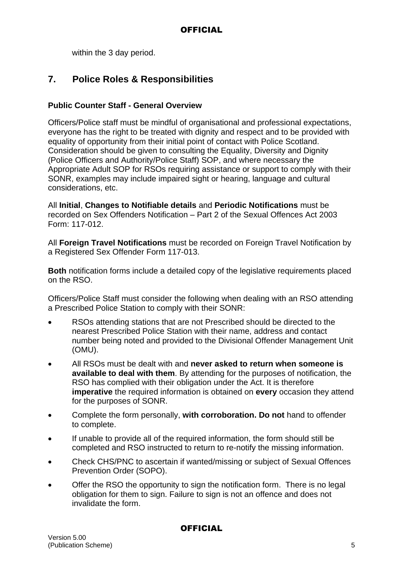within the 3 day period.

## **7. Police Roles & Responsibilities**

### **Public Counter Staff - General Overview**

Officers/Police staff must be mindful of organisational and professional expectations, everyone has the right to be treated with dignity and respect and to be provided with equality of opportunity from their initial point of contact with Police Scotland. Consideration should be given to consulting the Equality, Diversity and Dignity (Police Officers and Authority/Police Staff) SOP, and where necessary the Appropriate Adult SOP for RSOs requiring assistance or support to comply with their SONR, examples may include impaired sight or hearing, language and cultural considerations, etc.

All **Initial**, **Changes to Notifiable details** and **Periodic Notifications** must be recorded on Sex Offenders Notification – Part 2 of the Sexual Offences Act 2003 Form: 117-012.

All **Foreign Travel Notifications** must be recorded on Foreign Travel Notification by a Registered Sex Offender Form 117-013.

**Both** notification forms include a detailed copy of the legislative requirements placed on the RSO.

Officers/Police Staff must consider the following when dealing with an RSO attending a Prescribed Police Station to comply with their SONR:

- RSOs attending stations that are not Prescribed should be directed to the nearest Prescribed Police Station with their name, address and contact number being noted and provided to the Divisional Offender Management Unit (OMU).
- All RSOs must be dealt with and **never asked to return when someone is available to deal with them**. By attending for the purposes of notification, the RSO has complied with their obligation under the Act. It is therefore **imperative** the required information is obtained on **every** occasion they attend for the purposes of SONR.
- Complete the form personally, **with corroboration. Do not** hand to offender to complete.
- If unable to provide all of the required information, the form should still be completed and RSO instructed to return to re-notify the missing information.
- Check CHS/PNC to ascertain if wanted/missing or subject of Sexual Offences Prevention Order (SOPO).
- Offer the RSO the opportunity to sign the notification form. There is no legal obligation for them to sign. Failure to sign is not an offence and does not invalidate the form.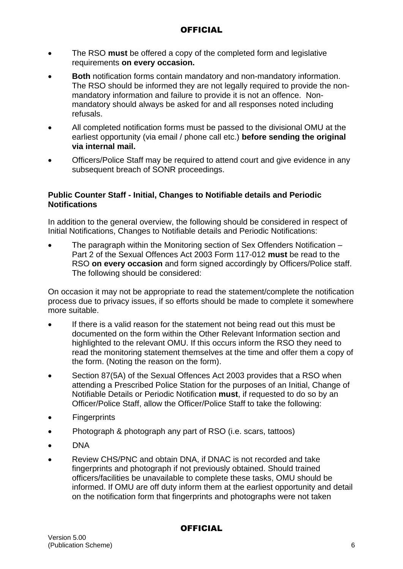- The RSO **must** be offered a copy of the completed form and legislative requirements **on every occasion.**
- **Both** notification forms contain mandatory and non-mandatory information. The RSO should be informed they are not legally required to provide the nonmandatory information and failure to provide it is not an offence. Nonmandatory should always be asked for and all responses noted including refusals.
- All completed notification forms must be passed to the divisional OMU at the earliest opportunity (via email / phone call etc.) **before sending the original via internal mail.**
- Officers/Police Staff may be required to attend court and give evidence in any subsequent breach of SONR proceedings.

#### **Public Counter Staff - Initial, Changes to Notifiable details and Periodic Notifications**

In addition to the general overview, the following should be considered in respect of Initial Notifications, Changes to Notifiable details and Periodic Notifications:

 The paragraph within the Monitoring section of Sex Offenders Notification – Part 2 of the Sexual Offences Act 2003 Form 117-012 **must** be read to the RSO **on every occasion** and form signed accordingly by Officers/Police staff. The following should be considered:

On occasion it may not be appropriate to read the statement/complete the notification process due to privacy issues, if so efforts should be made to complete it somewhere more suitable.

- If there is a valid reason for the statement not being read out this must be documented on the form within the Other Relevant Information section and highlighted to the relevant OMU. If this occurs inform the RSO they need to read the monitoring statement themselves at the time and offer them a copy of the form. (Noting the reason on the form).
- Section 87(5A) of the Sexual Offences Act 2003 provides that a RSO when attending a Prescribed Police Station for the purposes of an Initial, Change of Notifiable Details or Periodic Notification **must**, if requested to do so by an Officer/Police Staff, allow the Officer/Police Staff to take the following:
- **•** Fingerprints
- Photograph & photograph any part of RSO (i.e. scars, tattoos)
- DNA
- Review CHS/PNC and obtain DNA, if DNAC is not recorded and take fingerprints and photograph if not previously obtained. Should trained officers/facilities be unavailable to complete these tasks, OMU should be informed. If OMU are off duty inform them at the earliest opportunity and detail on the notification form that fingerprints and photographs were not taken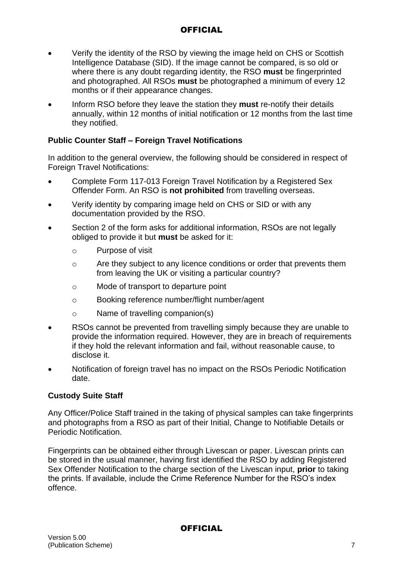- Verify the identity of the RSO by viewing the image held on CHS or Scottish Intelligence Database (SID). If the image cannot be compared, is so old or where there is any doubt regarding identity, the RSO **must** be fingerprinted and photographed. All RSOs **must** be photographed a minimum of every 12 months or if their appearance changes.
- Inform RSO before they leave the station they **must** re-notify their details annually, within 12 months of initial notification or 12 months from the last time they notified.

### **Public Counter Staff – Foreign Travel Notifications**

In addition to the general overview, the following should be considered in respect of Foreign Travel Notifications:

- Complete Form 117-013 Foreign Travel Notification by a Registered Sex Offender Form. An RSO is **not prohibited** from travelling overseas.
- Verify identity by comparing image held on CHS or SID or with any documentation provided by the RSO.
- Section 2 of the form asks for additional information, RSOs are not legally obliged to provide it but **must** be asked for it:
	- o Purpose of visit
	- o Are they subject to any licence conditions or order that prevents them from leaving the UK or visiting a particular country?
	- o Mode of transport to departure point
	- o Booking reference number/flight number/agent
	- o Name of travelling companion(s)
- RSOs cannot be prevented from travelling simply because they are unable to provide the information required. However, they are in breach of requirements if they hold the relevant information and fail, without reasonable cause, to disclose it.
- Notification of foreign travel has no impact on the RSOs Periodic Notification date.

### **Custody Suite Staff**

Any Officer/Police Staff trained in the taking of physical samples can take fingerprints and photographs from a RSO as part of their Initial, Change to Notifiable Details or Periodic Notification.

Fingerprints can be obtained either through Livescan or paper. Livescan prints can be stored in the usual manner, having first identified the RSO by adding Registered Sex Offender Notification to the charge section of the Livescan input, **prior** to taking the prints. If available, include the Crime Reference Number for the RSO's index offence.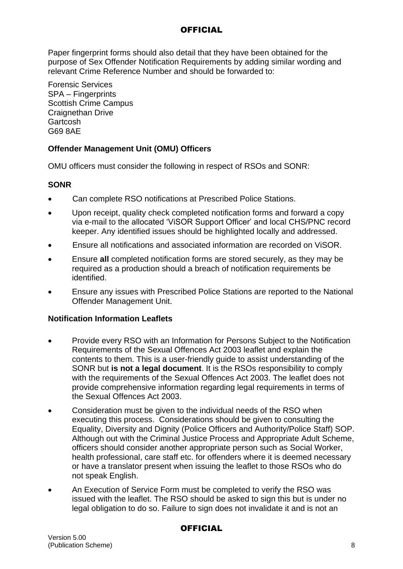Paper fingerprint forms should also detail that they have been obtained for the purpose of Sex Offender Notification Requirements by adding similar wording and relevant Crime Reference Number and should be forwarded to:

Forensic Services SPA – Fingerprints Scottish Crime Campus Craignethan Drive Gartcosh G69 8AE

### **Offender Management Unit (OMU) Officers**

OMU officers must consider the following in respect of RSOs and SONR:

#### **SONR**

- Can complete RSO notifications at [Prescribed Police Stations.](https://www.legislation.gov.uk/ssi/2017/285/pdfs/ssi_20170285_en.pdf)
- Upon receipt, quality check completed notification forms and forward a copy via e-mail to the allocated 'ViSOR Support Officer' and local CHS/PNC record keeper. Any identified issues should be highlighted locally and addressed.
- Ensure all notifications and associated information are recorded on ViSOR.
- Ensure **all** completed notification forms are stored securely, as they may be required as a production should a breach of notification requirements be identified.
- Ensure any issues with Prescribed Police Stations are reported to the National Offender Management Unit.

#### **Notification Information Leaflets**

- Provide every RSO with an Information for Persons Subject to the Notification Requirements of the Sexual Offences Act 2003 leaflet and explain the contents to them. This is a user-friendly guide to assist understanding of the SONR but **is not a legal document**. It is the RSOs responsibility to comply with the requirements of the Sexual Offences Act 2003. The leaflet does not provide comprehensive information regarding legal requirements in terms of the Sexual Offences Act 2003.
- Consideration must be given to the individual needs of the RSO when executing this process. Considerations should be given to consulting the Equality, Diversity and Dignity (Police Officers and Authority/Police Staff) SOP. Although out with the Criminal Justice Process and Appropriate Adult Scheme, officers should consider another appropriate person such as Social Worker, health professional, care staff etc. for offenders where it is deemed necessary or have a translator present when issuing the leaflet to those RSOs who do not speak English.
- An Execution of Service Form must be completed to verify the RSO was issued with the leaflet. The RSO should be asked to sign this but is under no legal obligation to do so. Failure to sign does not invalidate it and is not an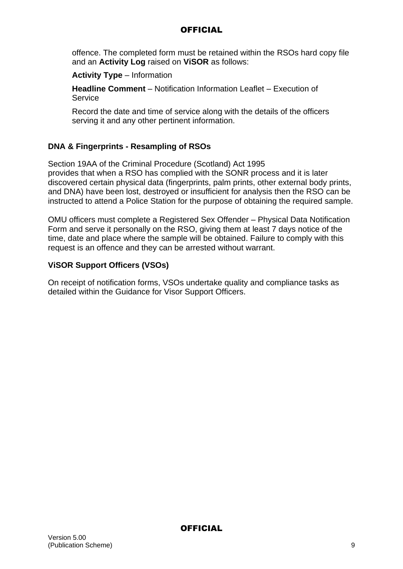offence. The completed form must be retained within the RSOs hard copy file and an **Activity Log** raised on **ViSOR** as follows:

### **Activity Type** – Information

**Headline Comment** – Notification Information Leaflet – Execution of **Service** 

Record the date and time of service along with the details of the officers serving it and any other pertinent information.

### **DNA & Fingerprints - Resampling of RSOs**

Section 19AA of the Criminal Procedure (Scotland) Act 1995 provides that when a RSO has complied with the SONR process and it is later discovered certain physical data (fingerprints, palm prints, other external body prints, and DNA) have been lost, destroyed or insufficient for analysis then the RSO can be instructed to attend a Police Station for the purpose of obtaining the required sample.

OMU officers must complete a Registered Sex Offender – Physical Data Notification Form and serve it personally on the RSO, giving them at least 7 days notice of the time, date and place where the sample will be obtained. Failure to comply with this request is an offence and they can be arrested without warrant.

### **ViSOR Support Officers (VSOs)**

On receipt of notification forms, VSOs undertake quality and compliance tasks as detailed within the Guidance for Visor Support Officers.